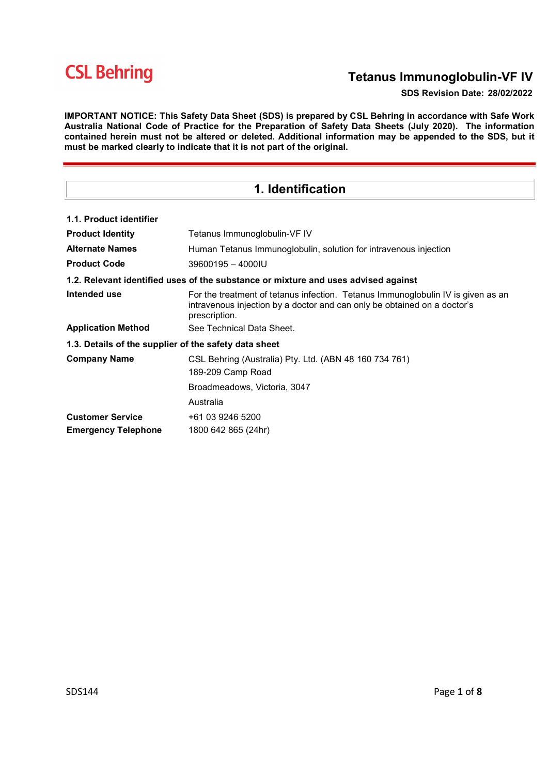## Tetanus Immunoglobulin-VF IV

### SDS Revision Date: 28/02/2022

IMPORTANT NOTICE: This Safety Data Sheet (SDS) is prepared by CSL Behring in accordance with Safe Work Australia National Code of Practice for the Preparation of Safety Data Sheets (July 2020). The information contained herein must not be altered or deleted. Additional information may be appended to the SDS, but it must be marked clearly to indicate that it is not part of the original.

| 1. Identification                                                                  |                                                                                                                                                                               |  |  |  |
|------------------------------------------------------------------------------------|-------------------------------------------------------------------------------------------------------------------------------------------------------------------------------|--|--|--|
| 1.1. Product identifier                                                            |                                                                                                                                                                               |  |  |  |
|                                                                                    |                                                                                                                                                                               |  |  |  |
| <b>Product Identity</b>                                                            | Tetanus Immunoglobulin-VF IV                                                                                                                                                  |  |  |  |
| <b>Alternate Names</b>                                                             | Human Tetanus Immunoglobulin, solution for intravenous injection                                                                                                              |  |  |  |
| <b>Product Code</b>                                                                | 39600195 - 4000IU                                                                                                                                                             |  |  |  |
| 1.2. Relevant identified uses of the substance or mixture and uses advised against |                                                                                                                                                                               |  |  |  |
| Intended use                                                                       | For the treatment of tetanus infection. Tetanus Immunoglobulin IV is given as an<br>intravenous injection by a doctor and can only be obtained on a doctor's<br>prescription. |  |  |  |
| <b>Application Method</b>                                                          | See Technical Data Sheet.                                                                                                                                                     |  |  |  |
| 1.3. Details of the supplier of the safety data sheet                              |                                                                                                                                                                               |  |  |  |
| <b>Company Name</b>                                                                | CSL Behring (Australia) Pty. Ltd. (ABN 48 160 734 761)                                                                                                                        |  |  |  |
|                                                                                    | 189-209 Camp Road                                                                                                                                                             |  |  |  |
|                                                                                    | Broadmeadows, Victoria, 3047                                                                                                                                                  |  |  |  |
|                                                                                    | Australia                                                                                                                                                                     |  |  |  |
| <b>Customer Service</b>                                                            | +61 03 9246 5200                                                                                                                                                              |  |  |  |
| <b>Emergency Telephone</b>                                                         | 1800 642 865 (24hr)                                                                                                                                                           |  |  |  |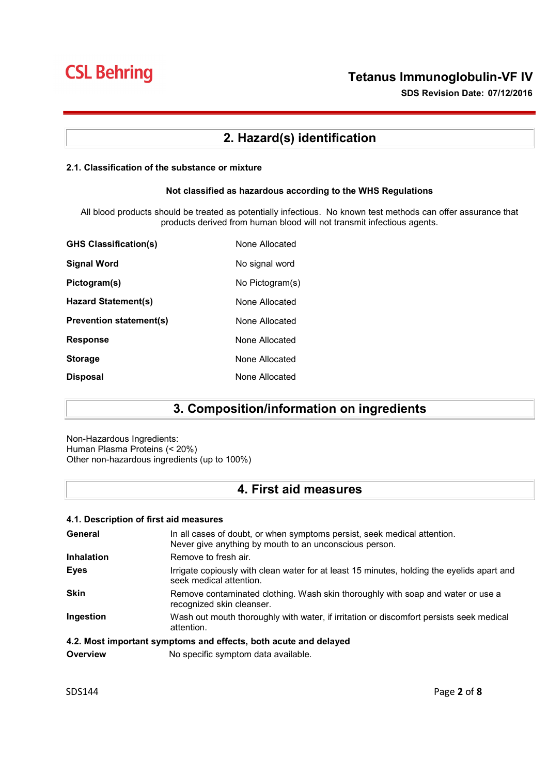SDS Revision Date: 07/12/2016

## 2. Hazard(s) identification

### 2.1. Classification of the substance or mixture

#### Not classified as hazardous according to the WHS Regulations

All blood products should be treated as potentially infectious. No known test methods can offer assurance that products derived from human blood will not transmit infectious agents.

| None Allocated  |
|-----------------|
| No signal word  |
| No Pictogram(s) |
| None Allocated  |
| None Allocated  |
| None Allocated  |
| None Allocated  |
| None Allocated  |
|                 |

## 3. Composition/information on ingredients

Non-Hazardous Ingredients: Human Plasma Proteins (< 20%) Other non-hazardous ingredients (up to 100%)

## 4. First aid measures

### 4.1. Description of first aid measures

| General                                                          | In all cases of doubt, or when symptoms persist, seek medical attention.<br>Never give anything by mouth to an unconscious person. |  |
|------------------------------------------------------------------|------------------------------------------------------------------------------------------------------------------------------------|--|
| <b>Inhalation</b>                                                | Remove to fresh air.                                                                                                               |  |
| <b>Eyes</b>                                                      | Irrigate copiously with clean water for at least 15 minutes, holding the eyelids apart and<br>seek medical attention.              |  |
| <b>Skin</b>                                                      | Remove contaminated clothing. Wash skin thoroughly with soap and water or use a<br>recognized skin cleanser.                       |  |
| Ingestion                                                        | Wash out mouth thoroughly with water, if irritation or discomfort persists seek medical<br>attention.                              |  |
| 4.2. Most important symptoms and effects, both acute and delayed |                                                                                                                                    |  |

**Overview Mo specific symptom data available.**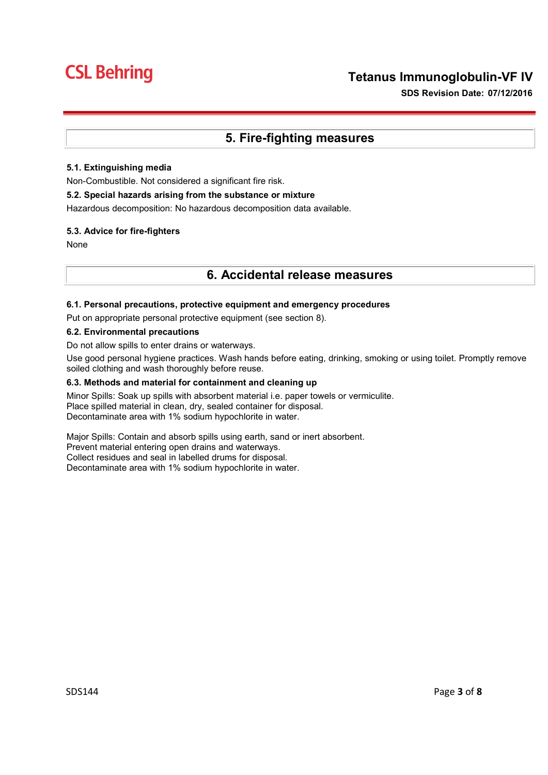SDS Revision Date: 07/12/2016

## 5. Fire-fighting measures

### 5.1. Extinguishing media

Non-Combustible. Not considered a significant fire risk.

### 5.2. Special hazards arising from the substance or mixture

Hazardous decomposition: No hazardous decomposition data available.

### 5.3. Advice for fire-fighters

None

### 6. Accidental release measures

### 6.1. Personal precautions, protective equipment and emergency procedures

Put on appropriate personal protective equipment (see section 8).

### 6.2. Environmental precautions

Do not allow spills to enter drains or waterways.

Use good personal hygiene practices. Wash hands before eating, drinking, smoking or using toilet. Promptly remove soiled clothing and wash thoroughly before reuse.

### 6.3. Methods and material for containment and cleaning up

Minor Spills: Soak up spills with absorbent material i.e. paper towels or vermiculite. Place spilled material in clean, dry, sealed container for disposal. Decontaminate area with 1% sodium hypochlorite in water.

Major Spills: Contain and absorb spills using earth, sand or inert absorbent. Prevent material entering open drains and waterways. Collect residues and seal in labelled drums for disposal. Decontaminate area with 1% sodium hypochlorite in water.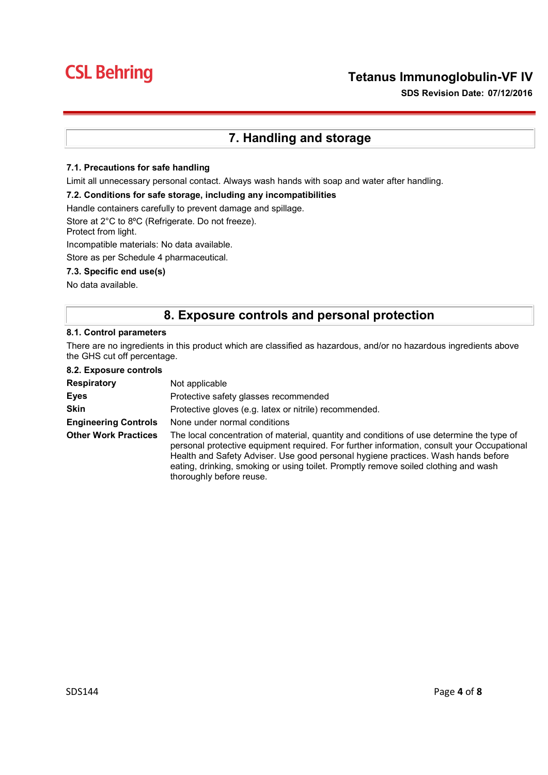### Tetanus Immunoglobulin-VF IV

SDS Revision Date: 07/12/2016

## 7. Handling and storage

### 7.1. Precautions for safe handling

Limit all unnecessary personal contact. Always wash hands with soap and water after handling.

#### 7.2. Conditions for safe storage, including any incompatibilities

Handle containers carefully to prevent damage and spillage.

Store at 2°C to 8ºC (Refrigerate. Do not freeze).

Protect from light.

Incompatible materials: No data available.

Store as per Schedule 4 pharmaceutical.

### 7.3. Specific end use(s)

No data available.

### 8. Exposure controls and personal protection

#### 8.1. Control parameters

There are no ingredients in this product which are classified as hazardous, and/or no hazardous ingredients above the GHS cut off percentage.

8.2. Exposure controls

| <b>Respiratory</b>          | Not applicable                                                                                                                                                                                                                                                                                                                                                                                  |  |
|-----------------------------|-------------------------------------------------------------------------------------------------------------------------------------------------------------------------------------------------------------------------------------------------------------------------------------------------------------------------------------------------------------------------------------------------|--|
| <b>Eyes</b>                 | Protective safety glasses recommended                                                                                                                                                                                                                                                                                                                                                           |  |
| <b>Skin</b>                 | Protective gloves (e.g. latex or nitrile) recommended.                                                                                                                                                                                                                                                                                                                                          |  |
| <b>Engineering Controls</b> | None under normal conditions                                                                                                                                                                                                                                                                                                                                                                    |  |
| <b>Other Work Practices</b> | The local concentration of material, quantity and conditions of use determine the type of<br>personal protective equipment required. For further information, consult your Occupational<br>Health and Safety Adviser. Use good personal hygiene practices. Wash hands before<br>eating, drinking, smoking or using toilet. Promptly remove soiled clothing and wash<br>thoroughly before reuse. |  |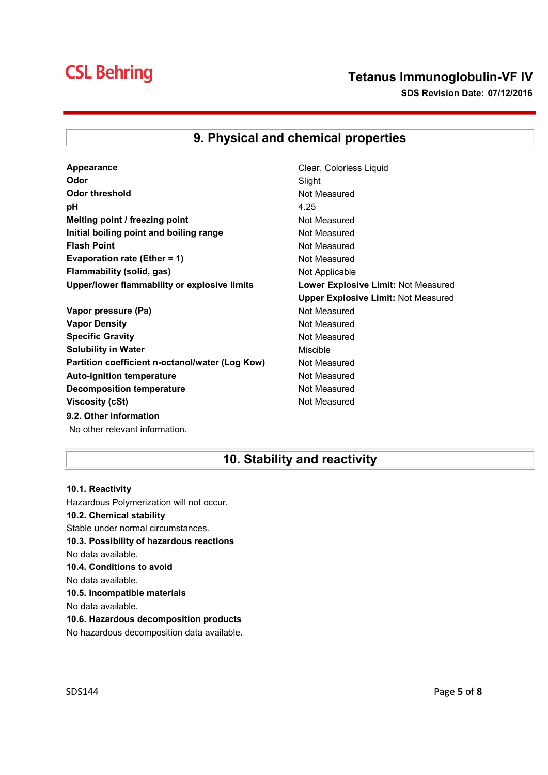### Tetanus Immunoglobulin-VF IV SDS Revision Date: 07/12/2016

## 9. Physical and chemical properties

- **Appearance** Clear, Colorless Liquid **Odor** Slight Odor threshold Not Measured **pH** 4.25 Melting point / freezing point Not Measured Initial boiling point and boiling range Not Measured Flash Point **Not Measured Not Measured** Evaporation rate (Ether = 1) Not Measured Flammability (solid, gas) Not Applicable Upper/lower flammability or explosive limits Lower Explosive Limit: Not Measured
- Vapor pressure (Pa) Not Measured Vapor Density **Not Measured** Not Measured Specific Gravity **Not Measured** Not Measured Solubility in Water **Mischle** Miscible Partition coefficient n-octanol/water (Log Kow) Not Measured Auto-ignition temperature **Not Measured** Not Measured Decomposition temperature Not Measured Viscosity (cSt) and Measured Not Measured 9.2. Other information No other relevant information.
- Upper Explosive Limit: Not Measured

## 10. Stability and reactivity

10.1. Reactivity Hazardous Polymerization will not occur. 10.2. Chemical stability Stable under normal circumstances. 10.3. Possibility of hazardous reactions No data available. 10.4. Conditions to avoid No data available. 10.5. Incompatible materials No data available. 10.6. Hazardous decomposition products No hazardous decomposition data available.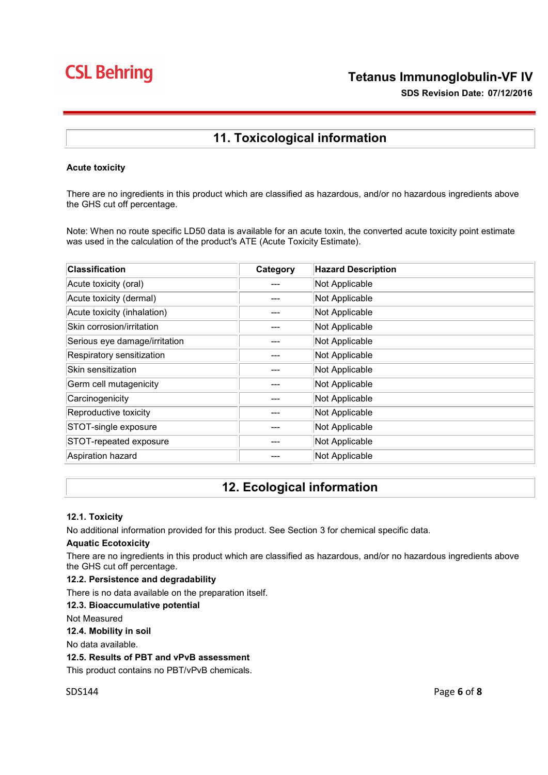## 11. Toxicological information

### Acute toxicity

There are no ingredients in this product which are classified as hazardous, and/or no hazardous ingredients above the GHS cut off percentage.

Note: When no route specific LD50 data is available for an acute toxin, the converted acute toxicity point estimate was used in the calculation of the product's ATE (Acute Toxicity Estimate).

| <b>Classification</b>         | Category | <b>Hazard Description</b> |
|-------------------------------|----------|---------------------------|
| Acute toxicity (oral)         | ---      | Not Applicable            |
| Acute toxicity (dermal)       |          | Not Applicable            |
| Acute toxicity (inhalation)   |          | Not Applicable            |
| Skin corrosion/irritation     |          | Not Applicable            |
| Serious eye damage/irritation |          | Not Applicable            |
| Respiratory sensitization     |          | Not Applicable            |
| Skin sensitization            |          | Not Applicable            |
| Germ cell mutagenicity        |          | Not Applicable            |
| Carcinogenicity               |          | Not Applicable            |
| Reproductive toxicity         |          | Not Applicable            |
| STOT-single exposure          |          | Not Applicable            |
| STOT-repeated exposure        | ---      | Not Applicable            |
| Aspiration hazard             |          | Not Applicable            |

## 12. Ecological information

### 12.1. Toxicity

No additional information provided for this product. See Section 3 for chemical specific data.

### Aquatic Ecotoxicity

There are no ingredients in this product which are classified as hazardous, and/or no hazardous ingredients above the GHS cut off percentage.

### 12.2. Persistence and degradability

There is no data available on the preparation itself.

#### 12.3. Bioaccumulative potential

Not Measured

#### 12.4. Mobility in soil

No data available.

#### 12.5. Results of PBT and vPvB assessment

This product contains no PBT/vPvB chemicals.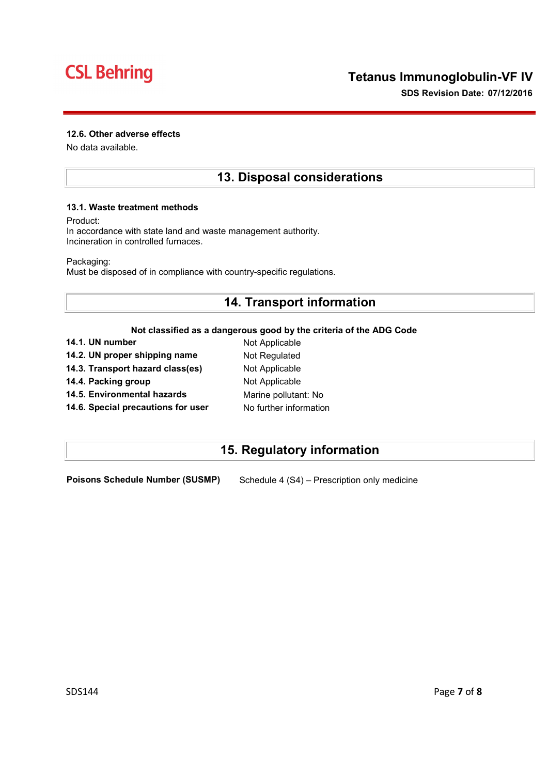### 12.6. Other adverse effects

No data available.

### 13. Disposal considerations

### 13.1. Waste treatment methods

Product:

In accordance with state land and waste management authority. Incineration in controlled furnaces.

Packaging:

Must be disposed of in compliance with country-specific regulations.

## 14. Transport information

### Not classified as a dangerous good by the criteria of the ADG Code

| 14.1. UN number                    | Not Applicable         |
|------------------------------------|------------------------|
| 14.2. UN proper shipping name      | Not Regulated          |
| 14.3. Transport hazard class(es)   | Not Applicable         |
| 14.4. Packing group                | Not Applicable         |
| 14.5. Environmental hazards        | Marine pollutant: No   |
| 14.6. Special precautions for user | No further information |

## 15. Regulatory information

Poisons Schedule Number (SUSMP) Schedule 4 (S4) – Prescription only medicine